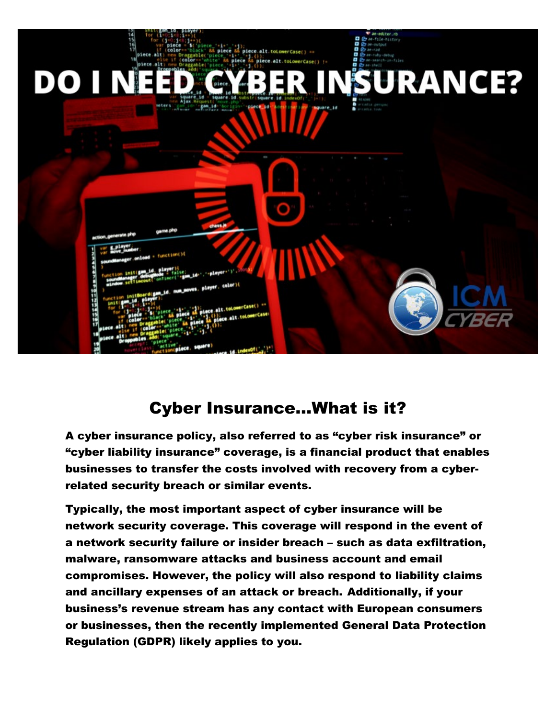

## Cyber Insurance...What is it?

A cyber insurance policy, also referred to as "cyber risk insurance" or "cyber liability insurance" coverage, is a financial product that enables businesses to transfer the costs involved with recovery from a cyberrelated security breach or similar events.

Typically, the most important aspect of cyber insurance will be network security coverage. This coverage will respond in the event of a network security failure or insider breach – such as data exfiltration, malware, ransomware attacks and business account and email compromises. However, the policy will also respond to liability claims and ancillary expenses of an attack or breach. Additionally, if your business's revenue stream has any contact with European consumers or businesses, then the recently implemented General Data Protection Regulation (GDPR) likely applies to you.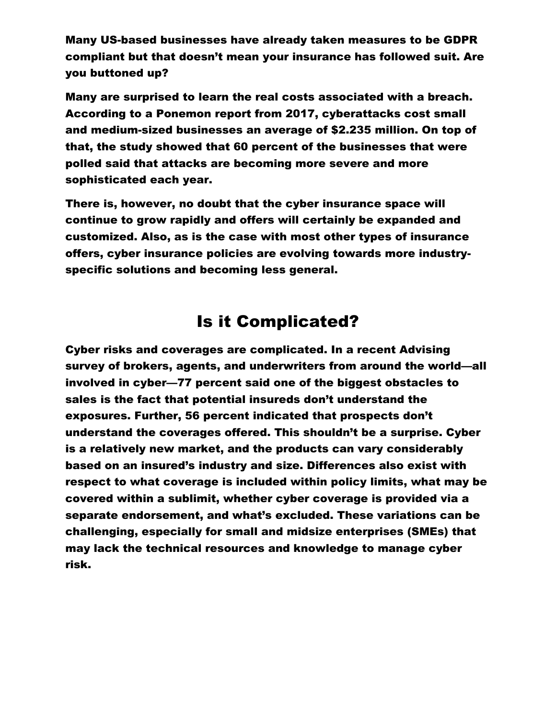Many US-based businesses have already taken measures to be GDPR compliant but that doesn't mean your insurance has followed suit. Are you buttoned up?

Many are surprised to learn the real costs associated with a breach. According to a Ponemon report from 2017, cyberattacks cost small and medium-sized businesses an average of \$2.235 million. On top of that, the study showed that 60 percent of the businesses that were polled said that attacks are becoming more severe and more sophisticated each year.

There is, however, no doubt that the cyber insurance space will continue to grow rapidly and offers will certainly be expanded and customized. Also, as is the case with most other types of insurance offers, cyber insurance policies are evolving towards more industryspecific solutions and becoming less general.

#### Is it Complicated?

Cyber risks and coverages are complicated. In a recent Advising survey of brokers, agents, and underwriters from around the world—all involved in cyber—77 percent said one of the biggest obstacles to sales is the fact that potential insureds don't understand the exposures. Further, 56 percent indicated that prospects don't understand the coverages offered. This shouldn't be a surprise. Cyber is a relatively new market, and the products can vary considerably based on an insured's industry and size. Differences also exist with respect to what coverage is included within policy limits, what may be covered within a sublimit, whether cyber coverage is provided via a separate endorsement, and what's excluded. These variations can be challenging, especially for small and midsize enterprises (SMEs) that may lack the technical resources and knowledge to manage cyber risk.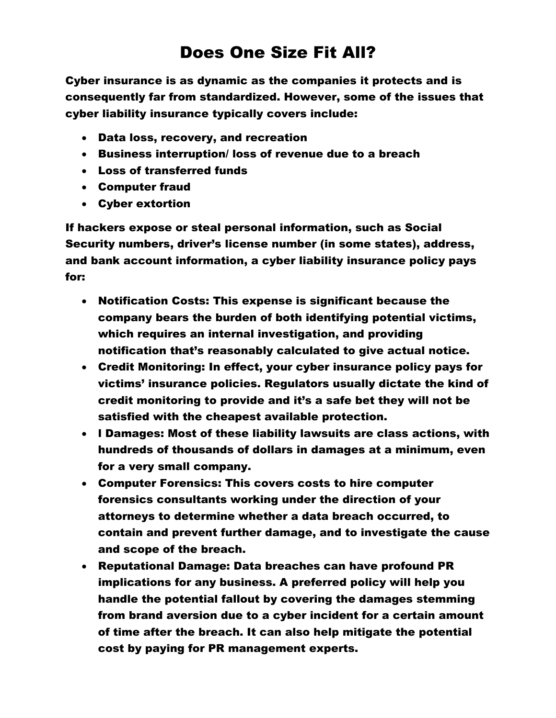# Does One Size Fit All?

Cyber insurance is as dynamic as the companies it protects and is consequently far from standardized. However, some of the issues that cyber liability insurance typically covers include:

- Data loss, recovery, and recreation
- Business interruption/ loss of revenue due to a breach
- Loss of transferred funds
- Computer fraud
- Cyber extortion

If hackers expose or steal personal information, such as Social Security numbers, driver's license number (in some states), address, and bank account information, a cyber liability insurance policy pays for:

- Notification Costs: This expense is significant because the company bears the burden of both identifying potential victims, which requires an internal investigation, and providing notification that's reasonably calculated to give actual notice.
- Credit Monitoring: In effect, your cyber insurance policy pays for victims' insurance policies. Regulators usually dictate the kind of credit monitoring to provide and it's a safe bet they will not be satisfied with the cheapest available protection.
- l Damages: Most of these liability lawsuits are class actions, with hundreds of thousands of dollars in damages at a minimum, even for a very small company.
- Computer Forensics: This covers costs to hire computer forensics consultants working under the direction of your attorneys to determine whether a data breach occurred, to contain and prevent further damage, and to investigate the cause and scope of the breach.
- Reputational Damage: Data breaches can have profound PR implications for any business. A preferred policy will help you handle the potential fallout by covering the damages stemming from brand aversion due to a cyber incident for a certain amount of time after the breach. It can also help mitigate the potential cost by paying for PR management experts.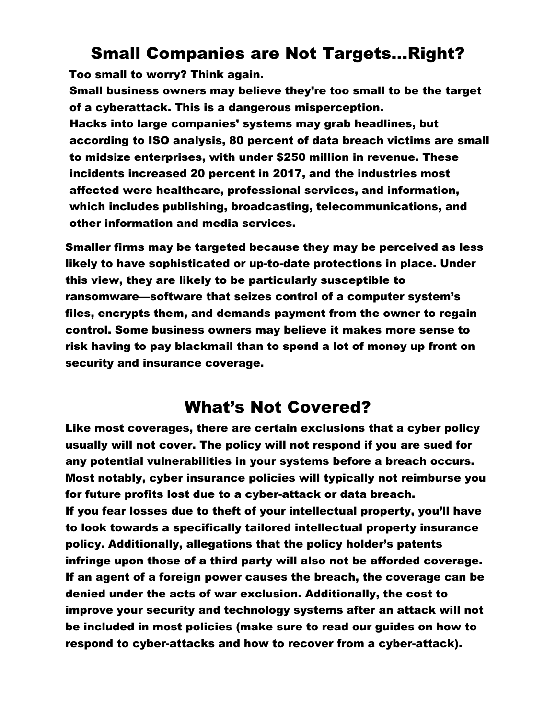#### Small Companies are Not Targets…Right?

Too small to worry? Think again.

Small business owners may believe they're too small to be the target of a cyberattack. This is a dangerous misperception. Hacks into large companies' systems may grab headlines, but according to ISO analysis, 80 percent of data breach victims are small to midsize enterprises, with under \$250 million in revenue. These incidents increased 20 percent in 2017, and the industries most affected were healthcare, professional services, and information, which includes publishing, broadcasting, telecommunications, and other information and media services.

Smaller firms may be targeted because they may be perceived as less likely to have sophisticated or up-to-date protections in place. Under this view, they are likely to be particularly susceptible to ransomware—software that seizes control of a computer system's files, encrypts them, and demands payment from the owner to regain control. Some business owners may believe it makes more sense to risk having to pay blackmail than to spend a lot of money up front on security and insurance coverage.

### What's Not Covered?

Like most coverages, there are certain exclusions that a cyber policy usually will not cover. The policy will not respond if you are sued for any potential vulnerabilities in your systems before a breach occurs. Most notably, cyber insurance policies will typically not reimburse you for future profits lost due to a cyber-attack or data breach. If you fear losses due to theft of your intellectual property, you'll have to look towards a specifically tailored intellectual property insurance policy. Additionally, allegations that the policy holder's patents infringe upon those of a third party will also not be afforded coverage. If an agent of a foreign power causes the breach, the coverage can be denied under the acts of war exclusion. Additionally, the cost to improve your security and technology systems after an attack will not be included in most policies (make sure to read our guides on how to respond to cyber-attacks and how to recover from a cyber-attack).